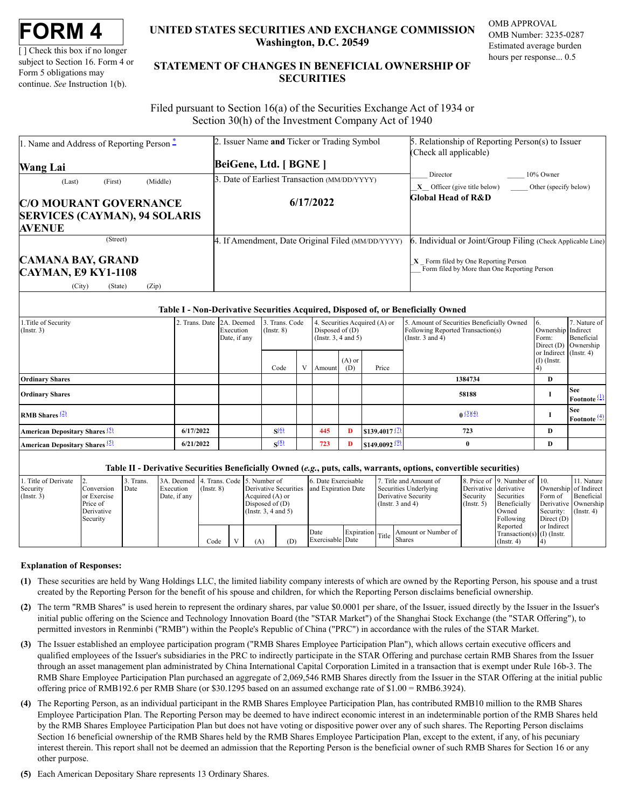[ ] Check this box if no longer subject to Section 16. Form 4 or Form 5 obligations may continue. *See* Instruction 1(b).

# **UNITED STATES SECURITIES AND EXCHANGE COMMISSION Washington, D.C. 20549**

OMB APPROVAL OMB Number: 3235-0287 Estimated average burden hours per response... 0.5

# **STATEMENT OF CHANGES IN BENEFICIAL OWNERSHIP OF SECURITIES**

Filed pursuant to Section 16(a) of the Securities Exchange Act of 1934 or Section 30(h) of the Investment Company Act of 1940

| 1. Name and Address of Reporting Person $\ddot{=}$     | 2. Issuer Name and Ticker or Trading Symbol       | 5. Relationship of Reporting Person(s) to Issuer                                       |  |  |  |
|--------------------------------------------------------|---------------------------------------------------|----------------------------------------------------------------------------------------|--|--|--|
|                                                        |                                                   | (Check all applicable)                                                                 |  |  |  |
| <b>Wang Lai</b>                                        | BeiGene, Ltd. [ BGNE ]                            |                                                                                        |  |  |  |
| (First)<br>(Middle)<br>(Last)                          | 3. Date of Earliest Transaction (MM/DD/YYYY)      | 10% Owner<br>Director                                                                  |  |  |  |
|                                                        |                                                   | $X$ Officer (give title below) Other (specify below)                                   |  |  |  |
| <b>C/O MOURANT GOVERNANCE</b>                          | 6/17/2022                                         | Global Head of R&D                                                                     |  |  |  |
| <b>SERVICES (CAYMAN), 94 SOLARIS</b>                   |                                                   |                                                                                        |  |  |  |
| <b>AVENUE</b>                                          |                                                   |                                                                                        |  |  |  |
| (Street)                                               | 4. If Amendment, Date Original Filed (MM/DD/YYYY) | 6. Individual or Joint/Group Filing (Check Applicable Line)                            |  |  |  |
| <b>CAMANA BAY, GRAND</b><br><b>CAYMAN, E9 KY1-1108</b> |                                                   | $X$ Form filed by One Reporting Person<br>Form filed by More than One Reporting Person |  |  |  |
| (City)<br>(Zip)<br>(State)                             |                                                   |                                                                                        |  |  |  |

### **Table I - Non-Derivative Securities Acquired, Disposed of, or Beneficially Owned**

| Title of Security.<br>$($ Instr. 3 $)$ | $\overline{2}$ | Trans. Date 2A. Deemed<br>Execution<br>Date, if any | 3. Trans. Code<br>$($ Instr. $8)$ | Disposed of $(D)$<br>(Insert. 3, 4 and 5) |        |                 | 4. Securities Acquired (A) or | 5. Amount of Securities Beneficially Owned<br>Following Reported Transaction(s)<br>(Instr. $3$ and $4$ ) | Ownership Indirect<br>Form:             | 7. Nature of<br>Beneficial<br>Direct $(D)$ Ownership |
|----------------------------------------|----------------|-----------------------------------------------------|-----------------------------------|-------------------------------------------|--------|-----------------|-------------------------------|----------------------------------------------------------------------------------------------------------|-----------------------------------------|------------------------------------------------------|
|                                        |                |                                                     | Code                              | V                                         | Amount | $(A)$ or<br>(D) | Price                         |                                                                                                          | or Indirect (Instr. 4)<br>$(I)$ (Instr. |                                                      |
| <b>Ordinary Shares</b>                 |                |                                                     |                                   |                                           |        |                 |                               | 1384734                                                                                                  | D                                       |                                                      |
| <b>Ordinary Shares</b>                 |                |                                                     |                                   |                                           |        |                 |                               | 58188                                                                                                    |                                         | <b>See</b><br>Footnote $(1)$                         |
| <b>RMB</b> Shares $\frac{2}{2}$        |                |                                                     |                                   |                                           |        |                 |                               | $0 \frac{(3)(4)}{2}$                                                                                     |                                         | <b>See</b><br>Footnote $\frac{(4)}{2}$               |
| American Depositary Shares (5)         | 6/17/2022      |                                                     | $\mathbf{S}^{(6)}$                |                                           | 445    | D               | \$139,4017 $\frac{(7)}{2}$    | 723                                                                                                      | D                                       |                                                      |
| American Depositary Shares (5)         | 6/21/2022      |                                                     | $\mathcal{S}^{(8)}$               |                                           | 723    | D               | \$149.0092 $\frac{(9)}{2}$    |                                                                                                          | D                                       |                                                      |

#### **Table II - Derivative Securities Beneficially Owned (***e.g.***, puts, calls, warrants, options, convertible securities)**

| Title of Derivate<br>Security<br>$($ Instr. 3) | l Conversion<br>lor Exercise<br>Price of<br>Derivative<br>Security | 3. Trans.<br>Date | 3A. Deemed 4. Trans. Code 5. Number of<br>Execution<br>Date, if any | $($ Instr. $8)$ |     | Derivative Securities<br>Acquired (A) or<br>Disposed of $(D)$<br>$($ Instr. 3, 4 and 5 $)$ |                          | 6. Date Exercisable<br>and Expiration Date |  | Title and Amount of<br>Securities Underlying<br>Derivative Security<br>(Instr. $3$ and $4$ ) | Derivative derivative<br>Security<br>$($ Instr. 5 $)$ | 8. Price of 19. Number of 10.<br>Securities<br>Beneficially<br>Owned<br>Following | Ownership of Indirect<br>Form of<br>Derivative Ownership<br>Security:<br>Direct $(D)$ | 11. Nature<br>Beneficial<br>$($ Instr. 4 $)$ |
|------------------------------------------------|--------------------------------------------------------------------|-------------------|---------------------------------------------------------------------|-----------------|-----|--------------------------------------------------------------------------------------------|--------------------------|--------------------------------------------|--|----------------------------------------------------------------------------------------------|-------------------------------------------------------|-----------------------------------------------------------------------------------|---------------------------------------------------------------------------------------|----------------------------------------------|
|                                                |                                                                    |                   |                                                                     | Code            | (A) | (D)                                                                                        | Date<br>Exercisable Date |                                            |  | Expiration Title Shares<br>Amount or Number of                                               |                                                       | Reported<br>Transaction(s) $(I)$ (Instr.<br>$($ Instr. 4 $)$                      | or Indirect                                                                           |                                              |

#### **Explanation of Responses:**

- <span id="page-0-0"></span>**(1)** These securities are held by Wang Holdings LLC, the limited liability company interests of which are owned by the Reporting Person, his spouse and a trust created by the Reporting Person for the benefit of his spouse and children, for which the Reporting Person disclaims beneficial ownership.
- <span id="page-0-1"></span>**(2)** The term "RMB Shares" is used herein to represent the ordinary shares, par value \$0.0001 per share, of the Issuer, issued directly by the Issuer in the Issuer's initial public offering on the Science and Technology Innovation Board (the "STAR Market") of the Shanghai Stock Exchange (the "STAR Offering"), to permitted investors in Renminbi ("RMB") within the People's Republic of China ("PRC") in accordance with the rules of the STAR Market.
- <span id="page-0-2"></span>**(3)** The Issuer established an employee participation program ("RMB Shares Employee Participation Plan"), which allows certain executive officers and qualified employees of the Issuer's subsidiaries in the PRC to indirectly participate in the STAR Offering and purchase certain RMB Shares from the Issuer through an asset management plan administrated by China International Capital Corporation Limited in a transaction that is exempt under Rule 16b-3. The RMB Share Employee Participation Plan purchased an aggregate of 2,069,546 RMB Shares directly from the Issuer in the STAR Offering at the initial public offering price of RMB192.6 per RMB Share (or \$30.1295 based on an assumed exchange rate of \$1.00 = RMB6.3924).
- <span id="page-0-3"></span>**(4)** The Reporting Person, as an individual participant in the RMB Shares Employee Participation Plan, has contributed RMB10 million to the RMB Shares Employee Participation Plan. The Reporting Person may be deemed to have indirect economic interest in an indeterminable portion of the RMB Shares held by the RMB Shares Employee Participation Plan but does not have voting or dispositive power over any of such shares. The Reporting Person disclaims Section 16 beneficial ownership of the RMB Shares held by the RMB Shares Employee Participation Plan, except to the extent, if any, of his pecuniary interest therein. This report shall not be deemed an admission that the Reporting Person is the beneficial owner of such RMB Shares for Section 16 or any other purpose.
- <span id="page-0-5"></span><span id="page-0-4"></span>**(5)** Each American Depositary Share represents 13 Ordinary Shares.